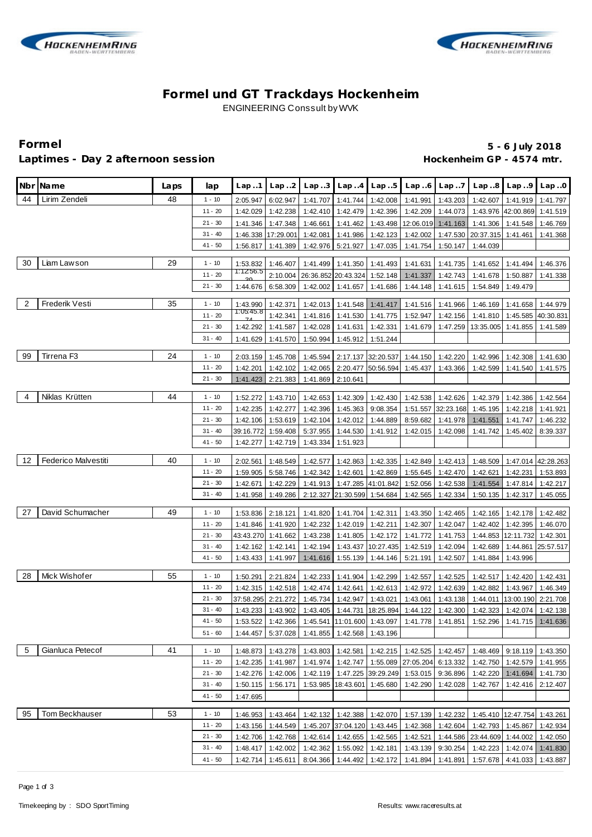



## **Formel und GT Trackdays Hockenheim** ENGINEERING Conssult by WVK

**Formel 5 - 6 July 2018**

Laptimes - Day 2 afternoon session **Matter and American Captive Control** Hockenheim GP - 4574 mtr.

|    | Nbr Name                   | Laps | lap                    | Lap.1     | Lap.2                          | Lap.3                        |                                | Lap.4 Lap.5                                          | Lap.6                                                            | Lap7               |                                                                                            | $Lap.8$ $Lap.9$      | Lap.0                |
|----|----------------------------|------|------------------------|-----------|--------------------------------|------------------------------|--------------------------------|------------------------------------------------------|------------------------------------------------------------------|--------------------|--------------------------------------------------------------------------------------------|----------------------|----------------------|
| 44 | Lirim Zendeli              | 48   | $1 - 10$               | 2:05.947  | 6:02.947                       |                              |                                | 1:41.707 1:41.744 1:42.008                           | 1:41.991                                                         | 1:43.203           | 1:42.607                                                                                   | 1:41.919             | 1:41.797             |
|    |                            |      | $11 - 20$              | 1:42.029  | 1:42.238                       |                              |                                | 1:42.410   1:42.479   1:42.396                       | 1:42.209                                                         | 1:44.073           |                                                                                            | 1:43.976 42:00.869   | 1:41.519             |
|    |                            |      | $21 - 30$              | 1:41.346  | 1:47.348                       | 1:46.661                     | 1:41.462                       |                                                      | 1:43.498 12:06.019 1:41.163                                      |                    | 1:41.306                                                                                   | 1:41.548             | 1:46.769             |
|    |                            |      | $31 - 40$              |           | 1:46.338 17:29.001             | 1:42.081                     |                                | 1:41.986 1:42.123                                    | 1:42.002                                                         | 1:47.530           | 20:37.315 1:41.461                                                                         |                      | 1:41.368             |
|    |                            |      | $41 - 50$              | 1:56.817  | 1:41.389                       | 1:42.976                     | 5:21.927                       | 1:47.035                                             | 1:41.754                                                         | 1:50.147           | 1:44.039                                                                                   |                      |                      |
| 30 | Liam Lawson                | 29   | $1 - 10$               | 1:53.832  | 1:46.407                       |                              |                                | 1:41.499 1:41.350 1:41.493                           | 1:41.631                                                         | 1:41.735           | 1:41.652                                                                                   | 1:41.494             | 1:46.376             |
|    |                            |      | $11 - 20$              | 1:1256.5  | 2:10.004                       | 26:36.852 20:43.324 1:52.148 |                                |                                                      | 1:41.337                                                         | 1:42.743           | 1:41.678                                                                                   | 1:50.887             | 1:41.338             |
|    |                            |      | $21 - 30$              | 1:44.676  | 6:58.309                       |                              | 1:42.002 1:41.657              | 1:41.686                                             | 1:44.148                                                         | 1:41.615           | 1:54.849                                                                                   | 1:49.479             |                      |
| 2  | Frederik Vesti             | 35   | $1 - 10$               | 1:43.990  | 1:42.371                       |                              |                                | 1:42.013 1:41.548 1:41.417                           |                                                                  | 1:41.516 1:41.966  | 1:46.169                                                                                   | 1:41.658             | 1:44.979             |
|    |                            |      | $11 - 20$              | 1:05:45.8 | 1:42.341                       |                              |                                | 1:41.816 1:41.530 1:41.775                           | 1:52.947                                                         | 1:42.156           | 1:41.810                                                                                   | 1:45.585             | 40:30.831            |
|    |                            |      | $21 - 30$              | 1:42.292  | 1:41.587                       |                              |                                | 1:42.028 1:41.631 1:42.331                           | 1:41.679                                                         | 1:47.259           | 13:35.005                                                                                  | 1:41.855             | 1:41.589             |
|    |                            |      | $31 - 40$              | 1:41.629  | 1:41.570                       | 1:50.994                     |                                | 1:45.912 1:51.244                                    |                                                                  |                    |                                                                                            |                      |                      |
| 99 | Tirrena F3                 | 24   | $1 - 10$               | 2:03.159  | 1:45.708                       |                              |                                |                                                      | 1:45.594 2:17.137 32:20.537 1:44.150 1:42.220                    |                    | 1:42.996                                                                                   | 1:42.308             | 1:41.630             |
|    |                            |      | $11 - 20$              | 1:42.201  | 1:42.102                       |                              |                                | 1:42.065 2:20.477 50:56.594                          | 1:45.437                                                         | 1:43.366           | 1:42.599                                                                                   | 1:41.540             | 1:41.575             |
|    |                            |      | $21 - 30$              | 1:41.423  | 2:21.383                       | 1:41.869                     | 2:10.641                       |                                                      |                                                                  |                    |                                                                                            |                      |                      |
|    |                            |      |                        |           |                                |                              |                                |                                                      |                                                                  |                    |                                                                                            |                      |                      |
| 4  | Niklas Krütten             | 44   | $1 - 10$               | 1:52.272  |                                |                              |                                |                                                      | 1:43.710 1:42.653 1:42.309 1:42.430 1:42.538 1:42.626            |                    | 1:42.379                                                                                   | 1:42.386             | 1:42.564             |
|    |                            |      | $11 - 20$<br>$21 - 30$ | 1:42.235  | 1:42.277                       | 1:42.396                     |                                | 1:45.363 9:08.354                                    |                                                                  | 1:51.557 32:23.168 | 1:45.195                                                                                   | 1:42.218             | 1:41.921             |
|    |                            |      | $31 - 40$              | 1:42.106  | 1:53.619<br>39:16.772 1:59.408 |                              |                                | 1:42.104 1:42.012 1:44.889                           | 8:59.682<br>5:37.955   1:44.530   1:41.912   1:42.015   1:42.098 | 1:41.978           | 1:41.551<br>1:41.742                                                                       | 1:41.747<br>1:45.402 | 1:46.232<br>8:39.337 |
|    |                            |      | $41 - 50$              | 1:42.277  | 1:42.719                       | 1:43.334                     | 1:51.923                       |                                                      |                                                                  |                    |                                                                                            |                      |                      |
|    |                            |      |                        |           |                                |                              |                                |                                                      |                                                                  |                    |                                                                                            |                      |                      |
| 12 | <b>Federico Malvestiti</b> | 40   | $1 - 10$               | 2:02.561  | 1:48.549                       |                              |                                |                                                      |                                                                  |                    | 1:42.577   1:42.863   1:42.335   1:42.849   1:42.413   1:48.509                            |                      | 1:47.014 42:28.263   |
|    |                            |      | $11 - 20$              | 1:59.905  | 5:58.746                       |                              | 1:42.342 1:42.601              | 1:42.869                                             | 1:55.645                                                         | 1:42.470           | 1:42.621                                                                                   | 1:42.231             | 1:53.893             |
|    |                            |      | $21 - 30$              | 1:42.671  | 1:42.229                       |                              |                                | 1:41.913 1:47.285 41:01.842                          | 1:52.056                                                         | 1:42.538           | 1:41.554                                                                                   | 1:47.814             | 1:42.217             |
|    |                            |      | $31 - 40$              | 1:41.958  | 1:49.286                       |                              | 2:12.327 21:30.599             | 1:54.684                                             | 1:42.565                                                         | 1:42.334           | 1:50.135                                                                                   | 1:42.317             | 1:45.055             |
| 27 | David Schumacher           | 49   | $1 - 10$               | 1:53.836  | 2:18.121                       |                              |                                | 1:41.820 1:41.704 1:42.311                           | 1:43.350                                                         | 1:42.465           | 1:42.165                                                                                   | 1:42.178             | 1:42.482             |
|    |                            |      | $11 - 20$              | 1:41.846  | 1:41.920                       |                              |                                | 1:42.232 1:42.019 1:42.211                           | 1:42.307                                                         | 1:42.047           | 1:42.402                                                                                   | 1:42.395             | 1:46.070             |
|    |                            |      | $21 - 30$              |           | 43:43.270 1:41.662             |                              |                                | 1:43.238 1:41.805 1:42.172                           | 1:41.772                                                         | 1:41.753           | 1:44.853                                                                                   | 12:11.732            | 1:42.301             |
|    |                            |      | $31 - 40$              | 1:42.162  | 1:42.141                       | 1:42.194                     |                                | 1:43.437 10:27.435                                   | 1:42.519                                                         | 1:42.094           | 1:42.689                                                                                   | 1:44.861             | 25:57.517            |
|    |                            |      | $41 - 50$              | 1:43.433  | 1:41.997                       | 1:41.616                     |                                | 1:55.139 1:44.146                                    | 5:21.191                                                         | 1:42.507           | 1:41.884                                                                                   | 1:43.996             |                      |
| 28 | Mick Wishofer              | 55   | $1 - 10$               | 1:50.291  | 2:21.824                       |                              |                                | 1:42.233 1:41.904 1:42.299                           | 1:42.557                                                         | 1:42.525           | 1:42.517                                                                                   | 1:42.420             | 1:42.431             |
|    |                            |      | $11 - 20$              |           |                                |                              |                                | 1:42.315   1:42.518   1:42.474   1:42.641   1:42.613 | 1:42.972                                                         | 1:42.639           | 1:42.882                                                                                   | 1:43.967             | 1:46.349             |
|    |                            |      | $21 - 30$              |           | 37:58.295 2:21.272             |                              |                                | 1:45.734 1:42.947 1:43.021                           | 1:43.061                                                         | 1:43.138           | 1:44.011                                                                                   | 13:00.190 2:21.708   |                      |
|    |                            |      | $31 - 40$              |           |                                |                              |                                |                                                      |                                                                  |                    | 1:43.233 1:43.902 1:43.405 1:44.731 18:25.894 1:44.122 1:42.300 1:42.323 1:42.074 1:42.138 |                      |                      |
|    |                            |      | $41 - 50$              |           |                                |                              |                                |                                                      |                                                                  |                    | 1:53.522 1:42.366 1:45.541 11:01.600 1:43.097 1:41.778 1:41.851 1:52.296 1:41.715 1:41.636 |                      |                      |
|    |                            |      | $51 - 60$              | 1:44.457  | 5:37.028                       |                              | 1:41.855   1:42.568   1:43.196 |                                                      |                                                                  |                    |                                                                                            |                      |                      |
| 5  | Gianluca Petecof           | 41   | $1 - 10$               | 1:48.873  | 1:43.278                       |                              |                                |                                                      | 1:43.803   1:42.581   1:42.215   1:42.525   1:42.457             |                    | 1:48.469                                                                                   | 9:18.119             | 1:43.350             |
|    |                            |      | $11 - 20$              |           | 1:42.235 1:41.987              |                              |                                |                                                      | 1:41.974 1:42.747 1:55.089 27:05.204 6:13.332                    |                    | 1:42.750                                                                                   | 1:42.579             | 1:41.955             |
|    |                            |      | $21 - 30$              | 1:42.276  | 1:42.006                       |                              |                                | 1:42.119 1:47.225 39:29.249                          | 1:53.015                                                         | 9:36.896           | 1:42.220                                                                                   | 1:41.694             | 1:41.730             |
|    |                            |      | $31 - 40$              | 1:50.115  | 1:56.171                       |                              | 1:53.985 18:43.601             | 1:45.680                                             | 1:42.290                                                         | 1:42.028           | 1:42.767                                                                                   | 1:42.416             | 2:12.407             |
|    |                            |      | $41 - 50$              | 1:47.695  |                                |                              |                                |                                                      |                                                                  |                    |                                                                                            |                      |                      |
| 95 | <b>Tom Beckhauser</b>      | 53   | $1 - 10$               | 1:46.953  | 1:43.464                       |                              |                                | 1:42.132 1:42.388 1:42.070                           |                                                                  | 1:57.139 1:42.232  |                                                                                            | 1:45.410 12:47.754   | 1:43.261             |
|    |                            |      | $11 - 20$              | 1:43.156  | 1:44.549                       |                              |                                | 1:45.207 37:04.120 1:43.445                          | 1:42.368                                                         | 1:42.604           | 1:42.793                                                                                   | 1:45.867             | 1:42.934             |
|    |                            |      | $21 - 30$              | 1:42.706  | 1:42.768                       |                              |                                | 1:42.614 1:42.655 1:42.565                           | 1:42.521                                                         |                    | 1:44.586 23:44.609 1:44.002                                                                |                      | 1:42.050             |
|    |                            |      | $31 - 40$              | 1:48.417  | 1:42.002                       |                              |                                | 1:42.362 1:55.092 1:42.181                           | 1:43.139                                                         | 9:30.254           | 1:42.223                                                                                   | 1:42.074             | 1:41.830             |
|    |                            |      | $41 - 50$              | 1:42.714  | 1:45.611                       |                              |                                | 8:04.366 1:44.492 1:42.172                           | 1:41.894                                                         | 1:41.891           | 1:57.678                                                                                   | 4:41.033             | 1:43.887             |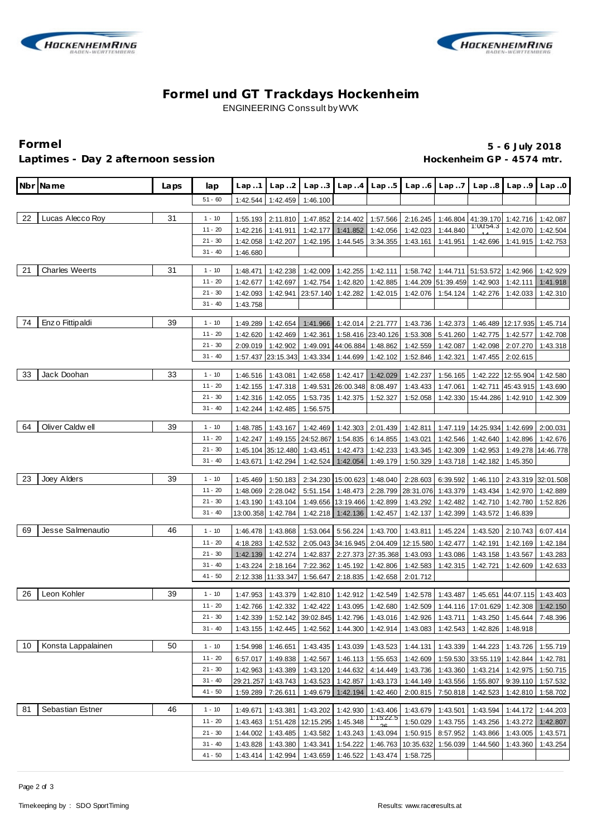



## **Formel und GT Trackdays Hockenheim** ENGINEERING Conssult by WVK

## **Formel 5 - 6 July 2018** Laptimes - Day 2 afternoon session **Matter and American Captive Control** Hockenheim GP - 4574 mtr.

|    | Nbr Name              | Laps | lap                    | Lap1                 | Lap.2                | Lap.3                          | Lap.4                          | Lap.5                       | Lap.6                                      | Lap.7                | Lap.8                                                                             | Lap.9                | Lap.0                |
|----|-----------------------|------|------------------------|----------------------|----------------------|--------------------------------|--------------------------------|-----------------------------|--------------------------------------------|----------------------|-----------------------------------------------------------------------------------|----------------------|----------------------|
|    |                       |      | $51 - 60$              | 1:42.544             | 1:42.459             | 1:46.100                       |                                |                             |                                            |                      |                                                                                   |                      |                      |
|    |                       |      |                        |                      |                      |                                |                                |                             |                                            |                      |                                                                                   |                      |                      |
| 22 | Lucas Alecco Roy      | 31   | $1 - 10$               | 1:55.193             | 2:11.810             | 1:47.852                       | 2:14.402                       | 1:57.566                    | 2:16.245                                   |                      | 1:46.804 41:39.170<br>1:00:54.3                                                   | 1:42.716             | 1:42.087             |
|    |                       |      | $11 - 20$              | 1:42.216             | 1:41.911             | 1:42.177                       | 1:41.852                       | 1:42.056                    | 1:42.023                                   | 1:44.840             |                                                                                   | 1:42.070             | 1:42.504             |
|    |                       |      | $21 - 30$              | 1:42.058             | 1:42.207             | 1:42.195                       | 1:44.545                       | 3:34.355                    | 1:43.161                                   | 1:41.951             | 1:42.696                                                                          | 1:41.915             | 1:42.753             |
|    |                       |      | $31 - 40$              | 1:46.680             |                      |                                |                                |                             |                                            |                      |                                                                                   |                      |                      |
| 21 | <b>Charles Weerts</b> | 31   | $1 - 10$               | 1:48.471             | 1:42.238             |                                |                                | 1:42.009 1:42.255 1:42.111  |                                            |                      | 1:58.742 1:44.711 51:53.572 1:42.966                                              |                      | 1:42.929             |
|    |                       |      | 11 - 20                | 1:42.677             | 1:42.697             |                                |                                | 1:42.754 1:42.820 1:42.885  |                                            | 1:44.209 51:39.459   | 1:42.903                                                                          | 1:42.111             | 1:41.918             |
|    |                       |      | 21 - 30                | 1:42.093             | 1:42.941             | 23:57.140 1:42.282             |                                | 1:42.015                    | 1:42.076                                   | 1:54.124             | 1:42.276                                                                          | 1:42.033             | 1:42.310             |
|    |                       |      | $31 - 40$              | 1:43.758             |                      |                                |                                |                             |                                            |                      |                                                                                   |                      |                      |
|    |                       |      |                        |                      |                      |                                |                                |                             |                                            |                      |                                                                                   |                      |                      |
| 74 | Enz o Fittip aldi     | 39   | $1 - 10$               | 1:49.289             | 1:42.654             |                                |                                | 1:41.966 1:42.014 2:21.777  | 1:43.736                                   | 1:42.373             |                                                                                   | 1:46.489 12:17.935   | 1:45.714             |
|    |                       |      | $11 - 20$              | 1:42.620             | 1:42.469             | 1:42.361                       |                                | 1:58.416 23:40.126          | 1:53.308                                   | 5:41.260             | 1:42.775                                                                          | 1:42.577             | 1:42.708             |
|    |                       |      | $21 - 30$<br>$31 - 40$ | 2:09.019             | 1:42.902             |                                |                                | 1:49.091 44:06.884 1:48.862 | 1:42.559                                   | 1:42.087             | 1:42.098                                                                          | 2:07.270             | 1:43.318             |
|    |                       |      |                        | 1:57.437             | 23:15.343            |                                |                                | 1:43.334 1:44.699 1:42.102  | 1:52.846                                   | 1:42.321             | 1:47.455                                                                          | 2:02.615             |                      |
| 33 | Jack Doohan           | 33   | $1 - 10$               | 1:46.516             | 1:43.081             |                                |                                | 1:42.658 1:42.417 1:42.029  | 1:42.237                                   | 1:56.165             |                                                                                   | 1:42.222 12:55.904   | 1:42.580             |
|    |                       |      | $11 - 20$              | 1:42.155             | 1:47.318             | 1:49.531                       | 26:00.348 8:08.497             |                             | 1:43.433                                   | 1:47.061             | 1:42.711                                                                          | 45:43.915            | 1:43.690             |
|    |                       |      | $21 - 30$              | 1:42.316             | 1:42.055             | 1:53.735                       | 1:42.375                       | 1:52.327                    | 1:52.058                                   | 1:42.330             | 15:44.286                                                                         | 1:42.910             | 1:42.309             |
|    |                       |      | $31 - 40$              | 1:42.244             | 1:42.485             | 1:56.575                       |                                |                             |                                            |                      |                                                                                   |                      |                      |
| 64 | Oliver Caldw ell      | 39   | $1 - 10$               |                      |                      |                                |                                |                             |                                            |                      |                                                                                   |                      |                      |
|    |                       |      | $11 - 20$              | 1:48.785<br>1:42.247 | 1:43.167<br>1:49.155 | 1:42.469                       | 1:42.303                       | 2:01.439                    | 1:42.811                                   |                      | 1:47.119 14:25.934<br>1:42.640                                                    | 1:42.699             | 2:00.031             |
|    |                       |      | $21 - 30$              | 1:45.104             | 35:12.480            | 1:43.451                       | 24:52.867 1:54.835<br>1:42.473 | 6:14.855<br>1:42.233        | 1:43.021<br>1:43.345                       | 1:42.546<br>1:42.309 | 1:42.953                                                                          | 1:42.896<br>1:49.278 | 1:42.676             |
|    |                       |      | $31 - 40$              | 1:43.671             | 1:42.294             | 1:42.524                       | 1:42.054                       | 1:49.179                    | 1:50.329                                   | 1:43.718             | 1:42.182                                                                          | 1:45.350             | 14:46.778            |
|    |                       |      |                        |                      |                      |                                |                                |                             |                                            |                      |                                                                                   |                      |                      |
| 23 | Joey Alders           | 39   | $1 - 10$               | 1:45.469             | 1:50.183             |                                |                                | 2:34.230 15:00.623 1:48.040 | 2:28.603                                   | 6:39.592             | 1:46.110                                                                          | 2:43.319 32:01.508   |                      |
|    |                       |      | 11 - 20                | 1:48.069             | 2:28.042             |                                |                                |                             | 5:51.154   1:48.473   2:28.799   28:31.076 | 1:43.379             | 1:43.434                                                                          | 1:42.970             | 1:42.889             |
|    |                       |      | $21 - 30$              | 1:43.190             | 1:43.104             |                                | 1:49.656 13:19.466 1:42.899    |                             | 1:43.292                                   | 1:42.482             | 1:42.710                                                                          | 1:42.780             | 1:52.826             |
|    |                       |      | $31 - 40$              |                      | 13:00.358 1:42.784   |                                | 1:42.218 1:42.136              | 1:42.457                    | 1:42.137                                   | 1:42.399             | 1:43.572                                                                          | 1:46.839             |                      |
| 69 | Jesse Salmenautio     | 46   | $1 - 10$               | 1:46.478             | 1:43.868             |                                |                                | 1:53.064 5:56.224 1:43.700  | 1:43.811                                   | 1:45.224             | 1:43.520                                                                          | 2:10.743             | 6:07.414             |
|    |                       |      | $11 - 20$              | 4:18.283             | 1:42.532             |                                |                                |                             | 2:05.043 34:16.945 2:04.409 12:15.580      | 1:42.477             | 1:42.191                                                                          | 1:42.169             | 1:42.184             |
|    |                       |      | $21 - 30$              | 1:42.139             | 1:42.274             | 1:42.837                       |                                | 2:27.373 27:35.368          | 1:43.093                                   | 1:43.086             | 1:43.158                                                                          | 1:43.567             | 1:43.283             |
|    |                       |      | $31 - 40$              | 1:43.224             | 2:18.164             | 7:22.362                       | 1:45.192                       | 1:42.806                    | 1:42.583                                   | 1:42.315             | 1:42.721                                                                          | 1:42.609             | 1:42.633             |
|    |                       |      | $41 - 50$              | 2:12.338             | 11:33.347            | 1:56.647                       | 2:18.835                       | 1:42.658                    | 2:01.712                                   |                      |                                                                                   |                      |                      |
|    |                       |      |                        |                      |                      |                                |                                |                             |                                            |                      |                                                                                   |                      |                      |
| 26 | Leon Kohler           | 39   | $1 - 10$               | 1:47.953             | 1:43.379             | 1:42.810                       | 1:42.912                       | 1:42.549                    | 1:42.578                                   | 1:43.487             | 1:45.651                                                                          | 44:07.115            | 1:43.403             |
|    |                       |      | $11 - 20$              | 1:42.766             | 1:42.332             | 1:42.422                       |                                | 1:43.095 1:42.680           | 1:42.509                                   |                      | 1:44.116 17:01.629                                                                | 1:42.308             | 1:42.150             |
|    |                       |      | $21 - 30$              |                      |                      |                                |                                |                             |                                            |                      | 1:42.339 1:52.142 39:02.845 1:42.796 1:43.016 1:42.926 1:43.711 1:43.250 1:45.644 |                      | 7:48.396             |
|    |                       |      | $31 - 40$              | 1:43.155             | 1:42.445             |                                |                                | 1:42.562 1:44.300 1:42.914  | 1:43.083                                   | 1:42.543             | 1:42.826                                                                          | 1:48.918             |                      |
| 10 | Konsta Lappalainen    | 50   | $1 - 10$               | 1:54.998             | 1:46.651             |                                |                                | 1:43.435 1:43.039 1:43.523  | 1:44.131                                   | 1:43.339             | 1:44.223                                                                          | 1:43.726             | 1:55.719             |
|    |                       |      | $11 - 20$              | 6:57.017             | 1:49.838             |                                |                                | 1:42.567 1:46.113 1:55.653  | 1:42.609                                   |                      | 1:59.530 33:55.119 1:42.844                                                       |                      | 1:42.781             |
|    |                       |      | $21 - 30$              | 1:42.963             | 1:43.389             |                                |                                | 1:43.120 1:44.632 4:14.449  | 1:43.736                                   | 1:43.360             | 1:43.214                                                                          | 1:42.975             | 1:50.715             |
|    |                       |      | $31 - 40$              | 29:21.257            | 1:43.743             |                                |                                | 1:43.523 1:42.857 1:43.173  | 1:44.149                                   | 1:43.556             | 1:55.807                                                                          | 9:39.110             | 1:57.532             |
|    |                       |      | $41 - 50$              | 1:59.289             | 7:26.611             | 1:49.679                       | 1:42.194                       | 1:42.460                    | 2:00.815                                   | 7:50.818             | 1:42.523                                                                          | 1:42.810             | 1:58.702             |
| 81 | Sebastian Estner      | 46   | $1 - 10$               |                      |                      |                                | 1:42.930                       | 1:43.406                    | 1:43.679                                   |                      |                                                                                   |                      |                      |
|    |                       |      | $11 - 20$              | 1:49.671             | 1:43.381             | 1:43.202<br>12:15.295 1:45.348 |                                | 1:15:22.5                   |                                            | 1:43.501             | 1:43.594                                                                          | 1:44.172<br>1:43.272 | 1:44.203             |
|    |                       |      | $21 - 30$              | 1:43.463<br>1:44.002 | 1:51.428<br>1:43.485 |                                |                                | 1:43.582 1:43.243 1:43.094  | 1:50.029<br>1:50.915                       | 1:43.755<br>8:57.952 | 1:43.256<br>1:43.866                                                              | 1:43.005             | 1:42.807<br>1:43.571 |
|    |                       |      | $31 - 40$              | 1:43.828             | 1:43.380             | 1:43.341                       |                                | 1:54.222 1:46.763           | 10:35.632                                  | 1:56.039             | 1:44.560                                                                          | 1:43.360             | 1:43.254             |
|    |                       |      | $41 - 50$              | 1:43.414             | 1:42.994             |                                |                                | 1:43.659 1:46.522 1:43.474  | 1:58.725                                   |                      |                                                                                   |                      |                      |
|    |                       |      |                        |                      |                      |                                |                                |                             |                                            |                      |                                                                                   |                      |                      |